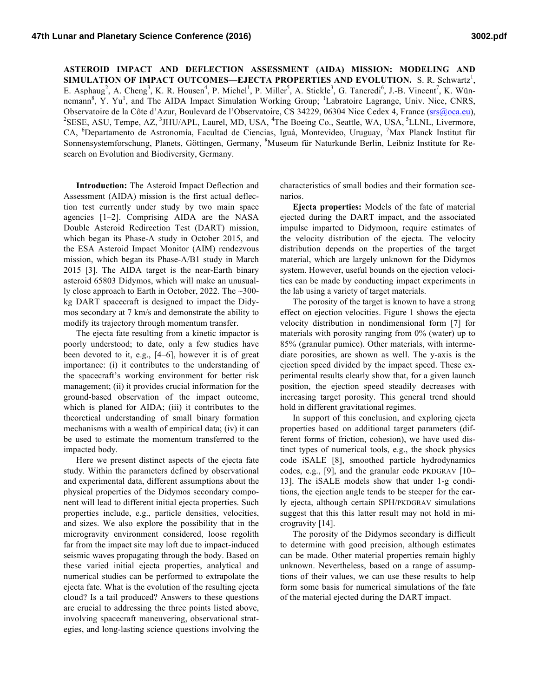**ASTEROID IMPACT AND DEFLECTION ASSESSMENT (AIDA) MISSION: MODELING AND**  SIMULATION OF IMPACT OUTCOMES—EJECTA PROPERTIES AND EVOLUTION. S. R. Schwartz<sup>1</sup>, E. Asphaug<sup>2</sup>, A. Cheng<sup>3</sup>, K. R. Housen<sup>4</sup>, P. Michel<sup>1</sup>, P. Miller<sup>5</sup>, A. Stickle<sup>3</sup>, G. Tancredi<sup>6</sup>, J.-B. Vincent<sup>7</sup>, K. Wünnemann<sup>8</sup>, Y. Yu<sup>1</sup>, and The AIDA Impact Simulation Working Group; <sup>1</sup>Labratoire Lagrange, Univ. Nice, CNRS, Observatoire de la Côte d'Azur, Boulevard de l'Observatoire, CS 34229, 06304 Nice Cedex 4, France (srs@oca.eu), <sup>2</sup>SESE, ASU, Tempe, AZ, <sup>3</sup>JHU/APL, Laurel, MD, USA, <sup>4</sup>The Boeing Co., Seattle, WA, USA, <sup>5</sup>LLNL, Livermore, CA, <sup>6</sup>Departamento de Astronomía, Facultad de Ciencias, Iguá, Montevideo, Uruguay, <sup>7</sup>Max Planck Institut für Sonnensystemforschung, Planets, Göttingen, Germany, <sup>8</sup>Museum für Naturkunde Berlin, Leibniz Institute for Research on Evolution and Biodiversity, Germany.

**Introduction:** The Asteroid Impact Deflection and Assessment (AIDA) mission is the first actual deflection test currently under study by two main space agencies [1–2]. Comprising AIDA are the NASA Double Asteroid Redirection Test (DART) mission, which began its Phase-A study in October 2015, and the ESA Asteroid Impact Monitor (AIM) rendezvous mission, which began its Phase-A/B1 study in March 2015 [3]. The AIDA target is the near-Earth binary asteroid 65803 Didymos, which will make an unusually close approach to Earth in October, 2022. The ~300 kg DART spacecraft is designed to impact the Didymos secondary at 7 km/s and demonstrate the ability to modify its trajectory through momentum transfer.

The ejecta fate resulting from a kinetic impactor is poorly understood; to date, only a few studies have been devoted to it, e.g., [4–6], however it is of great importance: (i) it contributes to the understanding of the spacecraft's working environment for better risk management; (ii) it provides crucial information for the ground-based observation of the impact outcome, which is planed for AIDA; (iii) it contributes to the theoretical understanding of small binary formation mechanisms with a wealth of empirical data; (iv) it can be used to estimate the momentum transferred to the impacted body.

Here we present distinct aspects of the ejecta fate study. Within the parameters defined by observational and experimental data, different assumptions about the physical properties of the Didymos secondary component will lead to different initial ejecta properties. Such properties include, e.g., particle densities, velocities, and sizes. We also explore the possibility that in the microgravity environment considered, loose regolith far from the impact site may loft due to impact-induced seismic waves propagating through the body. Based on these varied initial ejecta properties, analytical and numerical studies can be performed to extrapolate the ejecta fate. What is the evolution of the resulting ejecta cloud? Is a tail produced? Answers to these questions are crucial to addressing the three points listed above, involving spacecraft maneuvering, observational strategies, and long-lasting science questions involving the

characteristics of small bodies and their formation scenarios.

**Ejecta properties:** Models of the fate of material ejected during the DART impact, and the associated impulse imparted to Didymoon, require estimates of the velocity distribution of the ejecta. The velocity distribution depends on the properties of the target material, which are largely unknown for the Didymos system. However, useful bounds on the ejection velocities can be made by conducting impact experiments in the lab using a variety of target materials.

The porosity of the target is known to have a strong effect on ejection velocities. Figure 1 shows the ejecta velocity distribution in nondimensional form [7] for materials with porosity ranging from 0% (water) up to 85% (granular pumice). Other materials, with intermediate porosities, are shown as well. The y-axis is the ejection speed divided by the impact speed. These experimental results clearly show that, for a given launch position, the ejection speed steadily decreases with increasing target porosity. This general trend should hold in different gravitational regimes.

In support of this conclusion, and exploring ejecta properties based on additional target parameters (different forms of friction, cohesion), we have used distinct types of numerical tools, e.g., the shock physics code iSALE [8], smoothed particle hydrodynamics codes, e.g., [9], and the granular code PKDGRAV [10– 13]. The iSALE models show that under 1-g conditions, the ejection angle tends to be steeper for the early ejecta, although certain SPH/PKDGRAV simulations suggest that this this latter result may not hold in microgravity [14].

The porosity of the Didymos secondary is difficult to determine with good precision, although estimates can be made. Other material properties remain highly unknown. Nevertheless, based on a range of assumptions of their values, we can use these results to help form some basis for numerical simulations of the fate of the material ejected during the DART impact.